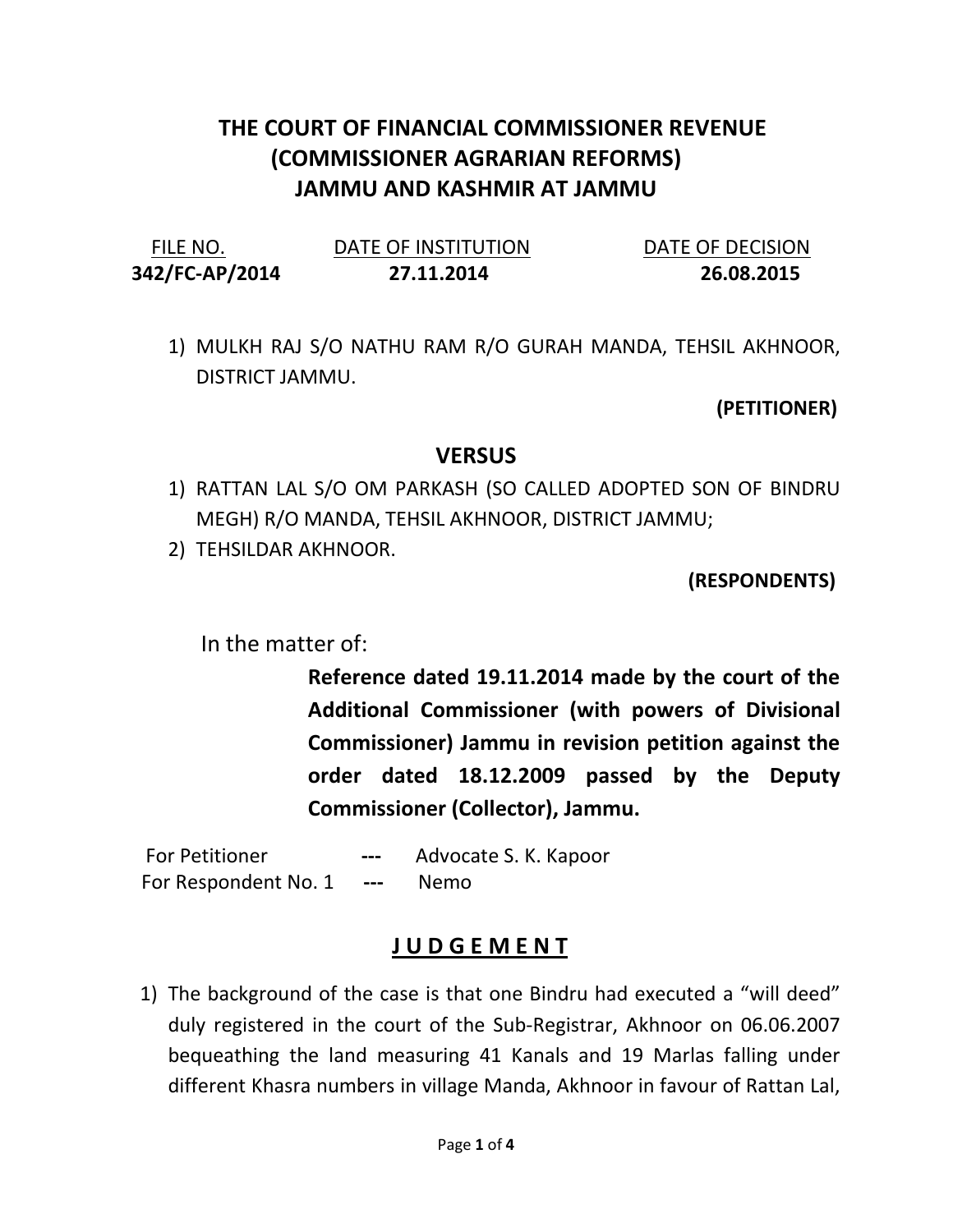## THE COURT OF FINANCIAL COMMISSIONER REVENUE (COMMISSIONER AGRARIAN REFORMS) JAMMU AND KASHMIR AT JAMMU

| FILE NO.       | DATE OF INSTITUTION | DATE OF DECISION |
|----------------|---------------------|------------------|
| 342/FC-AP/2014 | 27.11.2014          | 26.08.2015       |

1) MULKH RAJ S/O NATHU RAM R/O GURAH MANDA, TEHSIL AKHNOOR, DISTRICT JAMMU.

(PETITIONER)

## **VERSUS**

- 1) RATTAN LAL S/O OM PARKASH (SO CALLED ADOPTED SON OF BINDRU MEGH) R/O MANDA, TEHSIL AKHNOOR, DISTRICT JAMMU;
- 2) TEHSILDAR AKHNOOR.

(RESPONDENTS)

In the matter of:

Reference dated 19.11.2014 made by the court of the Additional Commissioner (with powers of Divisional Commissioner) Jammu in revision petition against the order dated 18.12.2009 passed by the Deputy Commissioner (Collector), Jammu.

For Petitioner --- Advocate S. K. Kapoor For Respondent No. 1 --- Nemo

## J U D G E M E N T

1) The background of the case is that one Bindru had executed a "will deed" duly registered in the court of the Sub-Registrar, Akhnoor on 06.06.2007 bequeathing the land measuring 41 Kanals and 19 Marlas falling under different Khasra numbers in village Manda, Akhnoor in favour of Rattan Lal,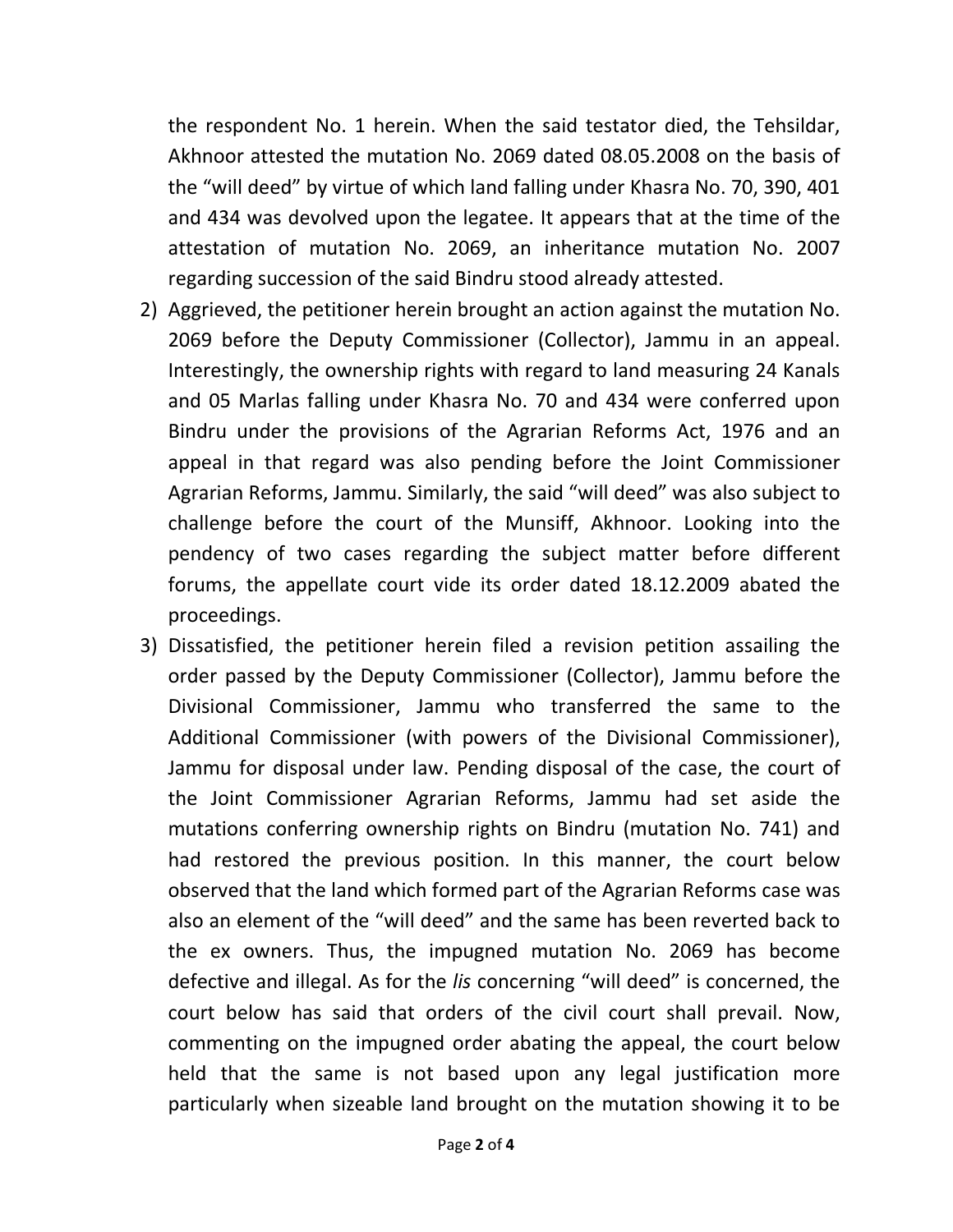the respondent No. 1 herein. When the said testator died, the Tehsildar, Akhnoor attested the mutation No. 2069 dated 08.05.2008 on the basis of the "will deed" by virtue of which land falling under Khasra No. 70, 390, 401 and 434 was devolved upon the legatee. It appears that at the time of the attestation of mutation No. 2069, an inheritance mutation No. 2007 regarding succession of the said Bindru stood already attested.

- 2) Aggrieved, the petitioner herein brought an action against the mutation No. 2069 before the Deputy Commissioner (Collector), Jammu in an appeal. Interestingly, the ownership rights with regard to land measuring 24 Kanals and 05 Marlas falling under Khasra No. 70 and 434 were conferred upon Bindru under the provisions of the Agrarian Reforms Act, 1976 and an appeal in that regard was also pending before the Joint Commissioner Agrarian Reforms, Jammu. Similarly, the said "will deed" was also subject to challenge before the court of the Munsiff, Akhnoor. Looking into the pendency of two cases regarding the subject matter before different forums, the appellate court vide its order dated 18.12.2009 abated the proceedings.
- 3) Dissatisfied, the petitioner herein filed a revision petition assailing the order passed by the Deputy Commissioner (Collector), Jammu before the Divisional Commissioner, Jammu who transferred the same to the Additional Commissioner (with powers of the Divisional Commissioner), Jammu for disposal under law. Pending disposal of the case, the court of the Joint Commissioner Agrarian Reforms, Jammu had set aside the mutations conferring ownership rights on Bindru (mutation No. 741) and had restored the previous position. In this manner, the court below observed that the land which formed part of the Agrarian Reforms case was also an element of the "will deed" and the same has been reverted back to the ex owners. Thus, the impugned mutation No. 2069 has become defective and illegal. As for the lis concerning "will deed" is concerned, the court below has said that orders of the civil court shall prevail. Now, commenting on the impugned order abating the appeal, the court below held that the same is not based upon any legal justification more particularly when sizeable land brought on the mutation showing it to be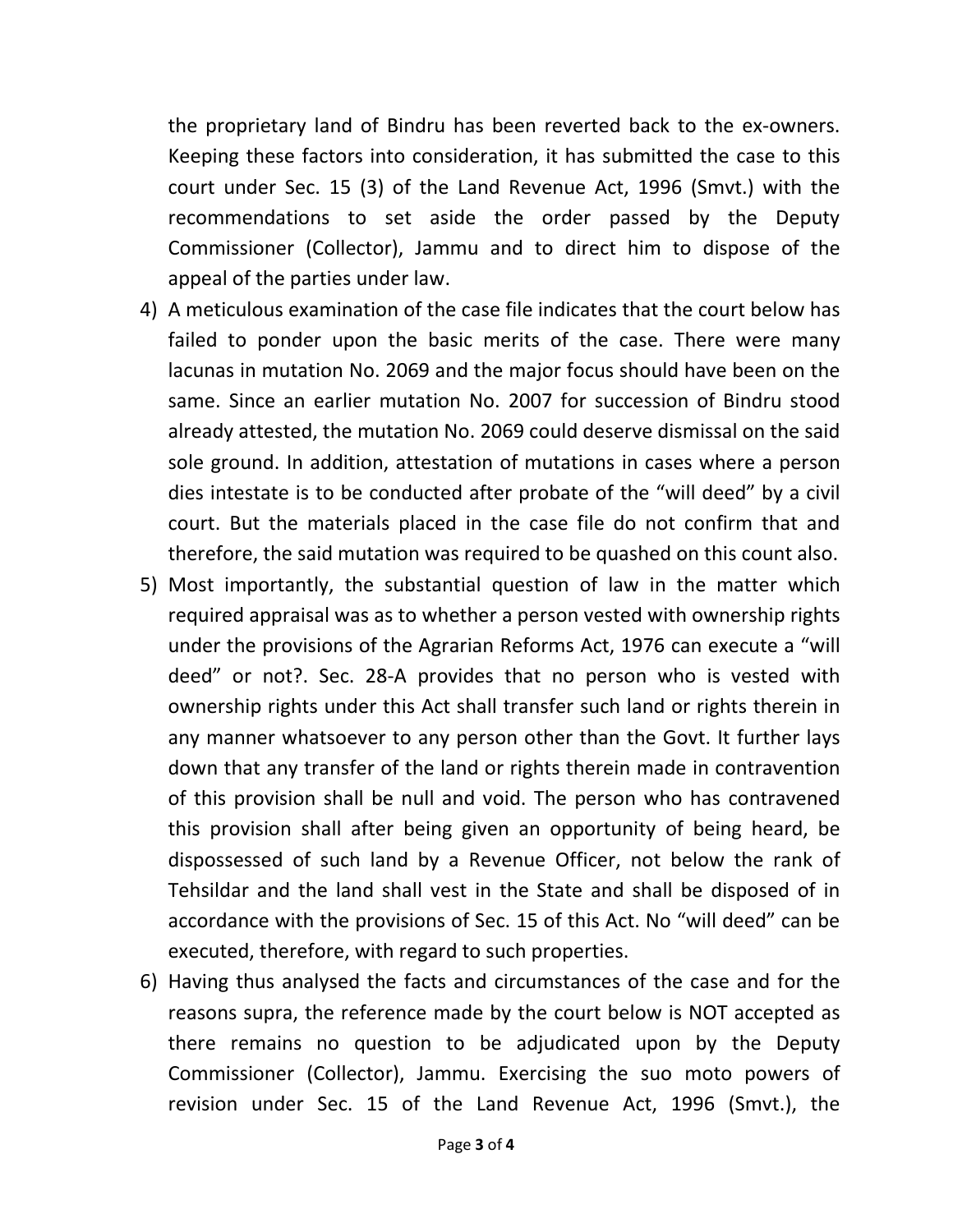the proprietary land of Bindru has been reverted back to the ex-owners. Keeping these factors into consideration, it has submitted the case to this court under Sec. 15 (3) of the Land Revenue Act, 1996 (Smvt.) with the recommendations to set aside the order passed by the Deputy Commissioner (Collector), Jammu and to direct him to dispose of the appeal of the parties under law.

- 4) A meticulous examination of the case file indicates that the court below has failed to ponder upon the basic merits of the case. There were many lacunas in mutation No. 2069 and the major focus should have been on the same. Since an earlier mutation No. 2007 for succession of Bindru stood already attested, the mutation No. 2069 could deserve dismissal on the said sole ground. In addition, attestation of mutations in cases where a person dies intestate is to be conducted after probate of the "will deed" by a civil court. But the materials placed in the case file do not confirm that and therefore, the said mutation was required to be quashed on this count also.
- 5) Most importantly, the substantial question of law in the matter which required appraisal was as to whether a person vested with ownership rights under the provisions of the Agrarian Reforms Act, 1976 can execute a "will deed" or not?. Sec. 28-A provides that no person who is vested with ownership rights under this Act shall transfer such land or rights therein in any manner whatsoever to any person other than the Govt. It further lays down that any transfer of the land or rights therein made in contravention of this provision shall be null and void. The person who has contravened this provision shall after being given an opportunity of being heard, be dispossessed of such land by a Revenue Officer, not below the rank of Tehsildar and the land shall vest in the State and shall be disposed of in accordance with the provisions of Sec. 15 of this Act. No "will deed" can be executed, therefore, with regard to such properties.
- 6) Having thus analysed the facts and circumstances of the case and for the reasons supra, the reference made by the court below is NOT accepted as there remains no question to be adjudicated upon by the Deputy Commissioner (Collector), Jammu. Exercising the suo moto powers of revision under Sec. 15 of the Land Revenue Act, 1996 (Smvt.), the